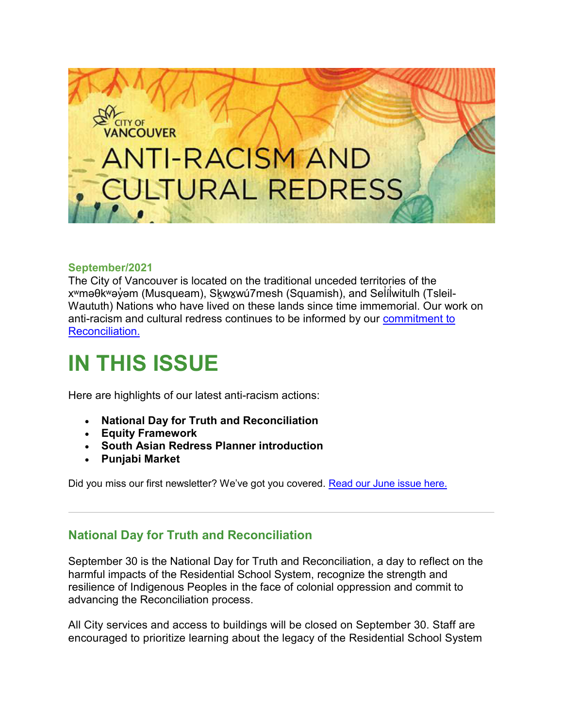

#### **September/2021**

The City of Vancouver is located on the traditional unceded territories of the xʷməθkʷəỷəm (Musqueam), S<u>k</u>wỵwú7mesh (Squamish), and Seİíİwitulh (Tsleil-̓ Waututh) Nations who have lived on these lands since time immemorial. Our work on anti-racism and cultural redress continues to be informed by our [commitment to](http://list.vancouver.ca/t/491671/1143027/5815/2/)  [Reconciliation.](http://list.vancouver.ca/t/491671/1143027/5815/2/)

# **IN THIS ISSUE**

Here are highlights of our latest anti-racism actions:

- **National Day for Truth and Reconciliation**
- **Equity Framework**
- **South Asian Redress Planner introduction**
- **Punjabi Market**

Did you miss our first newsletter? We've got you covered. [Read our June issue here.](http://list.vancouver.ca/t/491671/1143027/11151/30/)

# **National Day for Truth and Reconciliation**

September 30 is the National Day for Truth and Reconciliation, a day to reflect on the harmful impacts of the Residential School System, recognize the strength and resilience of Indigenous Peoples in the face of colonial oppression and commit to advancing the Reconciliation process.

All City services and access to buildings will be closed on September 30. Staff are encouraged to prioritize learning about the legacy of the Residential School System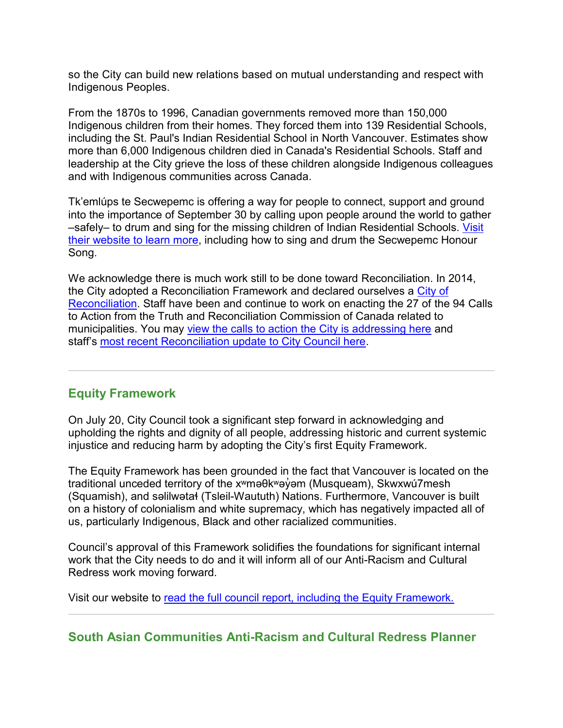so the City can build new relations based on mutual understanding and respect with Indigenous Peoples.

From the 1870s to 1996, Canadian governments removed more than 150,000 Indigenous children from their homes. They forced them into 139 Residential Schools, including the St. Paul's Indian Residential School in North Vancouver. Estimates show more than 6,000 Indigenous children died in Canada's Residential Schools. Staff and leadership at the City grieve the loss of these children alongside Indigenous colleagues and with Indigenous communities across Canada.

Tk'emlúps te Secwepemc is offering a way for people to connect, support and ground into the importance of September 30 by calling upon people around the world to gather –safely– to drum and sing for the missing children of Indian Residential Schools. [Visit](http://list.vancouver.ca/t/491671/1143027/11459/31/)  [their website to learn more,](http://list.vancouver.ca/t/491671/1143027/11459/31/) including how to sing and drum the Secwepemc Honour Song.

We acknowledge there is much work still to be done toward Reconciliation. In 2014, the City adopted a Reconciliation Framework and declared ourselves a [City of](http://list.vancouver.ca/t/491671/1143027/5815/32/)  [Reconciliation.](http://list.vancouver.ca/t/491671/1143027/5815/32/) Staff have been and continue to work on enacting the 27 of the 94 Calls to Action from the Truth and Reconciliation Commission of Canada related to municipalities. You may [view the calls to action the City is addressing here](http://list.vancouver.ca/t/491671/1143027/11460/33/) and staff's [most recent Reconciliation update to City Council here.](http://list.vancouver.ca/t/491671/1143027/11461/34/)

# **Equity Framework**

On July 20, City Council took a significant step forward in acknowledging and upholding the rights and dignity of all people, addressing historic and current systemic injustice and reducing harm by adopting the City's first Equity Framework.

The Equity Framework has been grounded in the fact that Vancouver is located on the traditional unceded territory of the x<sup>w</sup>məθk<sup>w</sup>əy̓ əm (Musqueam), Skwxwú7mesh (Squamish), and səlilwətaɬ (Tsleil-Waututh) Nations. Furthermore, Vancouver is built on a history of colonialism and white supremacy, which has negatively impacted all of us, particularly Indigenous, Black and other racialized communities.

Council's approval of this Framework solidifies the foundations for significant internal work that the City needs to do and it will inform all of our Anti-Racism and Cultural Redress work moving forward.

Visit our website to [read the full council report, including the Equity Framework.](http://list.vancouver.ca/t/491671/1143027/11050/35/)

## **South Asian Communities Anti-Racism and Cultural Redress Planner**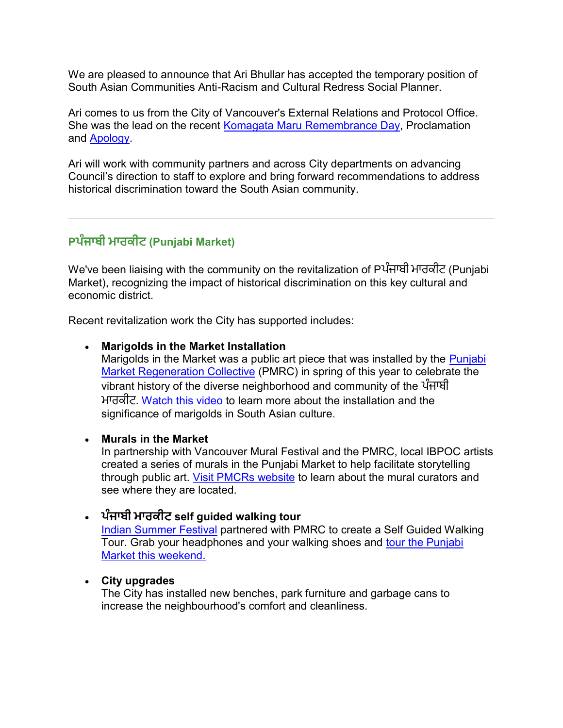We are pleased to announce that Ari Bhullar has accepted the temporary position of South Asian Communities Anti-Racism and Cultural Redress Social Planner.

Ari comes to us from the City of Vancouver's External Relations and Protocol Office. She was the lead on the recent [Komagata Maru Remembrance Day,](http://list.vancouver.ca/t/491671/1143027/11462/36/) Proclamation and [Apology.](http://list.vancouver.ca/t/491671/1143027/10691/37/)

Ari will work with community partners and across City departments on advancing Council's direction to staff to explore and bring forward recommendations to address historical discrimination toward the South Asian community.

# **Pਪੰਜਾਬੀ ਮਾਰਕੀਟ (Punjabi Market)**

We've been liaising with the community on the revitalization of Pਪੰਜਾਬੀ ਮਾਰਕੀਟ (Punjabi Market), recognizing the impact of historical discrimination on this key cultural and economic district.

Recent revitalization work the City has supported includes:

#### **Marigolds in the Market Installation**

Marigolds in the Market was a public art piece that was installed by the [Punjabi](http://list.vancouver.ca/t/491671/1143027/11463/38/)  [Market Regeneration Collective](http://list.vancouver.ca/t/491671/1143027/11463/38/) (PMRC) in spring of this year to celebrate the vibrant history of the diverse neighborhood and community of the ਪੰਜਾਬੀ ਮਾਰਕੀਟ. <u>[Watch this video](http://list.vancouver.ca/t/491671/1143027/11464/39/)</u> to learn more about the installation and the significance of marigolds in South Asian culture.

#### **Murals in the Market**

In partnership with Vancouver Mural Festival and the PMRC, local IBPOC artists created a series of murals in the Punjabi Market to help facilitate storytelling through public art. [Visit PMCRs website](http://list.vancouver.ca/t/491671/1143027/11465/40/) to learn about the mural curators and see where they are located.

### **ਪੰਜਾਬੀ ਮਾਰਕੀਟ self guided walking tour**

[Indian Summer Festival](http://list.vancouver.ca/t/491671/1143027/11466/41/) partnered with PMRC to create a Self Guided Walking Tour. Grab your headphones and your walking shoes and [tour the Punjabi](http://list.vancouver.ca/t/491671/1143027/11467/42/)  [Market this weekend.](http://list.vancouver.ca/t/491671/1143027/11467/42/)

#### **City upgrades**

The City has installed new benches, park furniture and garbage cans to increase the neighbourhood's comfort and cleanliness.